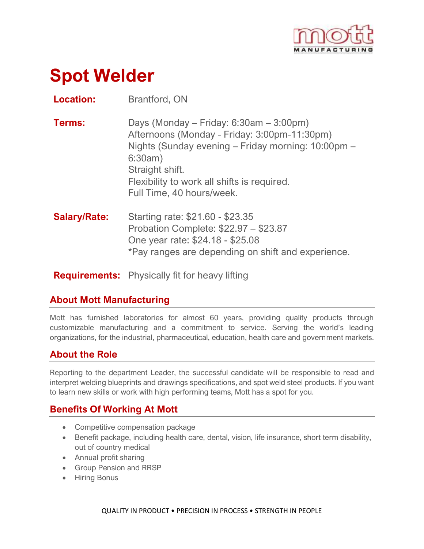

# **Spot Welder**

**Location:** Brantford, ON

- **Terms:** Days (Monday Friday: 6:30am 3:00pm) Afternoons (Monday - Friday: 3:00pm-11:30pm) Nights (Sunday evening – Friday morning: 10:00pm – 6:30am) Straight shift. Flexibility to work all shifts is required. Full Time, 40 hours/week.
- **Salary/Rate:** Starting rate: \$21.60 \$23.35 Probation Complete: \$22.97 – \$23.87 One year rate: \$24.18 - \$25.08 \*Pay ranges are depending on shift and experience.

**Requirements:** Physically fit for heavy lifting

## **About Mott Manufacturing**

Mott has furnished laboratories for almost 60 years, providing quality products through customizable manufacturing and a commitment to service. Serving the world's leading organizations, for the industrial, pharmaceutical, education, health care and government markets.

## **About the Role**

Reporting to the department Leader, the successful candidate will be responsible to read and interpret welding blueprints and drawings specifications, and spot weld steel products. If you want to learn new skills or work with high performing teams, Mott has a spot for you.

## **Benefits Of Working At Mott**

- Competitive compensation package
- Benefit package, including health care, dental, vision, life insurance, short term disability, out of country medical
- Annual profit sharing
- Group Pension and RRSP
- Hiring Bonus